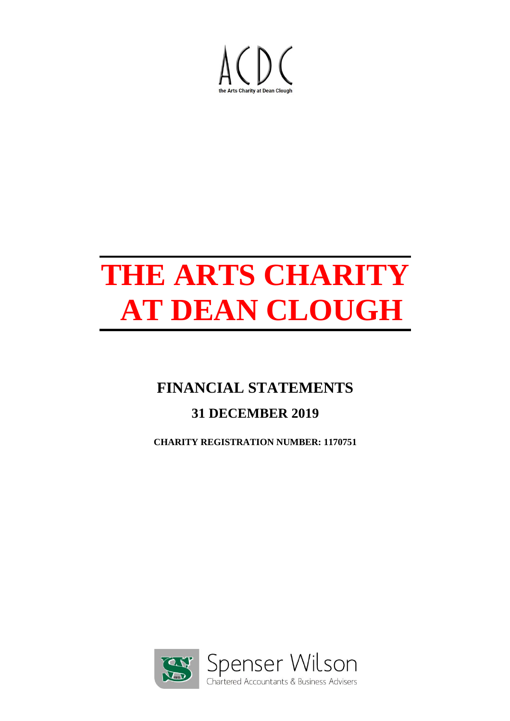

## **FINANCIAL STATEMENTS**

## **31 DECEMBER 2019**

**CHARITY REGISTRATION NUMBER: 1170751**

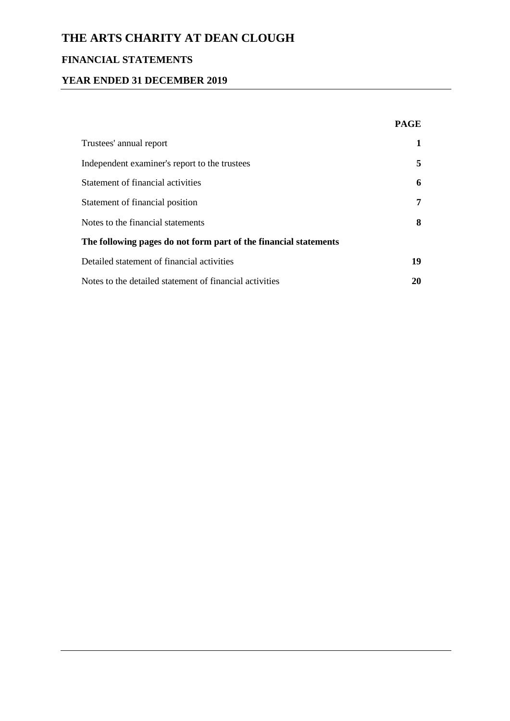## **FINANCIAL STATEMENTS**

#### **YEAR ENDED 31 DECEMBER 2019**

|                                                                  | <b>PAGE</b> |
|------------------------------------------------------------------|-------------|
| Trustees' annual report                                          | 1           |
| Independent examiner's report to the trustees                    | 5.          |
| Statement of financial activities                                | 6           |
| Statement of financial position                                  | 7           |
| Notes to the financial statements                                | 8           |
| The following pages do not form part of the financial statements |             |
| Detailed statement of financial activities                       | 19          |
| Notes to the detailed statement of financial activities          | 20          |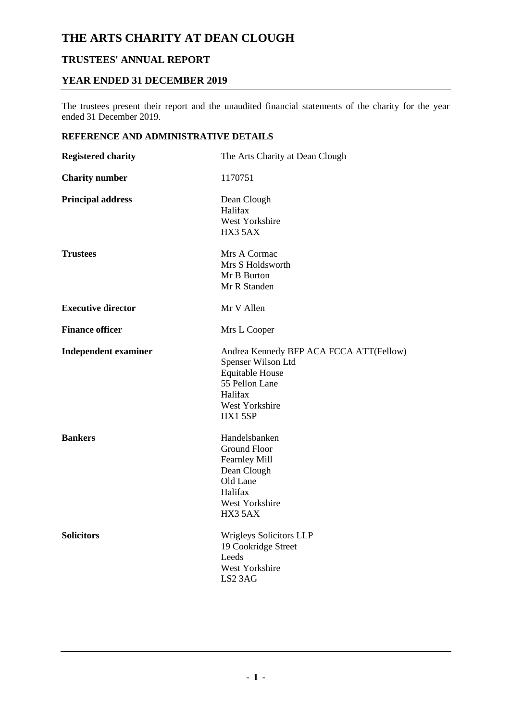#### **TRUSTEES' ANNUAL REPORT**

#### **YEAR ENDED 31 DECEMBER 2019**

The trustees present their report and the unaudited financial statements of the charity for the year ended 31 December 2019.

#### **REFERENCE AND ADMINISTRATIVE DETAILS**

| <b>Registered charity</b>   | The Arts Charity at Dean Clough                                                                                                                  |
|-----------------------------|--------------------------------------------------------------------------------------------------------------------------------------------------|
| <b>Charity number</b>       | 1170751                                                                                                                                          |
| <b>Principal address</b>    | Dean Clough<br>Halifax<br>West Yorkshire<br>HX3 5AX                                                                                              |
| <b>Trustees</b>             | Mrs A Cormac<br>Mrs S Holdsworth<br>Mr B Burton<br>Mr R Standen                                                                                  |
| <b>Executive director</b>   | Mr V Allen                                                                                                                                       |
| <b>Finance officer</b>      | Mrs L Cooper                                                                                                                                     |
| <b>Independent examiner</b> | Andrea Kennedy BFP ACA FCCA ATT(Fellow)<br>Spenser Wilson Ltd<br><b>Equitable House</b><br>55 Pellon Lane<br>Halifax<br>West Yorkshire<br>HX15SP |
| <b>Bankers</b>              | Handelsbanken<br><b>Ground Floor</b><br><b>Fearnley Mill</b><br>Dean Clough<br>Old Lane<br>Halifax<br>West Yorkshire<br>HX3 5AX                  |
| <b>Solicitors</b>           | <b>Wrigleys Solicitors LLP</b><br>19 Cookridge Street<br>Leeds<br>West Yorkshire<br>LS2 3AG                                                      |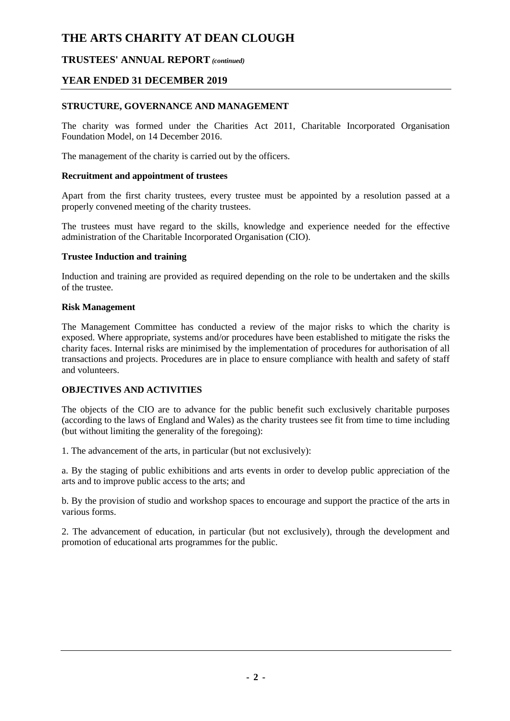#### **TRUSTEES' ANNUAL REPORT** *(continued)*

#### **YEAR ENDED 31 DECEMBER 2019**

#### **STRUCTURE, GOVERNANCE AND MANAGEMENT**

The charity was formed under the Charities Act 2011, Charitable Incorporated Organisation Foundation Model, on 14 December 2016.

The management of the charity is carried out by the officers.

#### **Recruitment and appointment of trustees**

Apart from the first charity trustees, every trustee must be appointed by a resolution passed at a properly convened meeting of the charity trustees.

The trustees must have regard to the skills, knowledge and experience needed for the effective administration of the Charitable Incorporated Organisation (CIO).

#### **Trustee Induction and training**

Induction and training are provided as required depending on the role to be undertaken and the skills of the trustee.

#### **Risk Management**

The Management Committee has conducted a review of the major risks to which the charity is exposed. Where appropriate, systems and/or procedures have been established to mitigate the risks the charity faces. Internal risks are minimised by the implementation of procedures for authorisation of all transactions and projects. Procedures are in place to ensure compliance with health and safety of staff and volunteers.

#### **OBJECTIVES AND ACTIVITIES**

The objects of the CIO are to advance for the public benefit such exclusively charitable purposes (according to the laws of England and Wales) as the charity trustees see fit from time to time including (but without limiting the generality of the foregoing):

1. The advancement of the arts, in particular (but not exclusively):

a. By the staging of public exhibitions and arts events in order to develop public appreciation of the arts and to improve public access to the arts; and

b. By the provision of studio and workshop spaces to encourage and support the practice of the arts in various forms.

2. The advancement of education, in particular (but not exclusively), through the development and promotion of educational arts programmes for the public.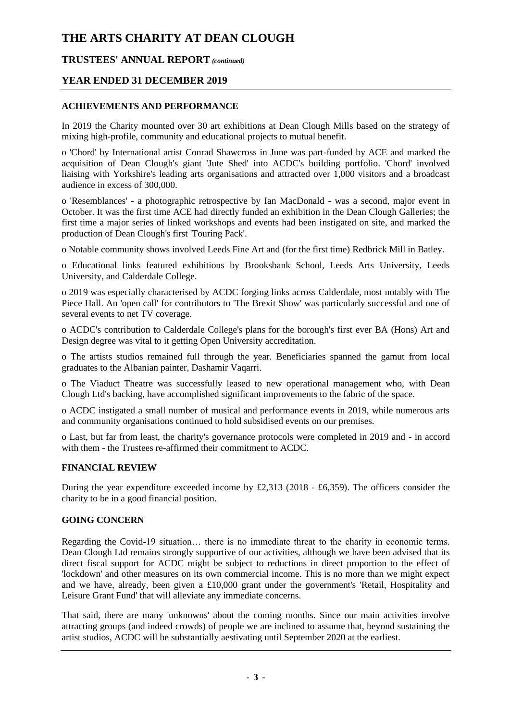#### **TRUSTEES' ANNUAL REPORT** *(continued)*

#### **YEAR ENDED 31 DECEMBER 2019**

#### **ACHIEVEMENTS AND PERFORMANCE**

In 2019 the Charity mounted over 30 art exhibitions at Dean Clough Mills based on the strategy of mixing high-profile, community and educational projects to mutual benefit.

o 'Chord' by International artist Conrad Shawcross in June was part-funded by ACE and marked the acquisition of Dean Clough's giant 'Jute Shed' into ACDC's building portfolio. 'Chord' involved liaising with Yorkshire's leading arts organisations and attracted over 1,000 visitors and a broadcast audience in excess of 300,000.

o 'Resemblances' - a photographic retrospective by Ian MacDonald - was a second, major event in October. It was the first time ACE had directly funded an exhibition in the Dean Clough Galleries; the first time a major series of linked workshops and events had been instigated on site, and marked the production of Dean Clough's first 'Touring Pack'.

o Notable community shows involved Leeds Fine Art and (for the first time) Redbrick Mill in Batley.

o Educational links featured exhibitions by Brooksbank School, Leeds Arts University, Leeds University, and Calderdale College.

o 2019 was especially characterised by ACDC forging links across Calderdale, most notably with The Piece Hall. An 'open call' for contributors to 'The Brexit Show' was particularly successful and one of several events to net TV coverage.

o ACDC's contribution to Calderdale College's plans for the borough's first ever BA (Hons) Art and Design degree was vital to it getting Open University accreditation.

o The artists studios remained full through the year. Beneficiaries spanned the gamut from local graduates to the Albanian painter, Dashamir Vaqarri.

o The Viaduct Theatre was successfully leased to new operational management who, with Dean Clough Ltd's backing, have accomplished significant improvements to the fabric of the space.

o ACDC instigated a small number of musical and performance events in 2019, while numerous arts and community organisations continued to hold subsidised events on our premises.

o Last, but far from least, the charity's governance protocols were completed in 2019 and - in accord with them - the Trustees re-affirmed their commitment to ACDC.

#### **FINANCIAL REVIEW**

During the year expenditure exceeded income by £2,313 (2018 - £6,359). The officers consider the charity to be in a good financial position.

#### **GOING CONCERN**

Regarding the Covid-19 situation… there is no immediate threat to the charity in economic terms. Dean Clough Ltd remains strongly supportive of our activities, although we have been advised that its direct fiscal support for ACDC might be subject to reductions in direct proportion to the effect of 'lockdown' and other measures on its own commercial income. This is no more than we might expect and we have, already, been given a £10,000 grant under the government's 'Retail, Hospitality and Leisure Grant Fund' that will alleviate any immediate concerns.

That said, there are many 'unknowns' about the coming months. Since our main activities involve attracting groups (and indeed crowds) of people we are inclined to assume that, beyond sustaining the artist studios, ACDC will be substantially aestivating until September 2020 at the earliest.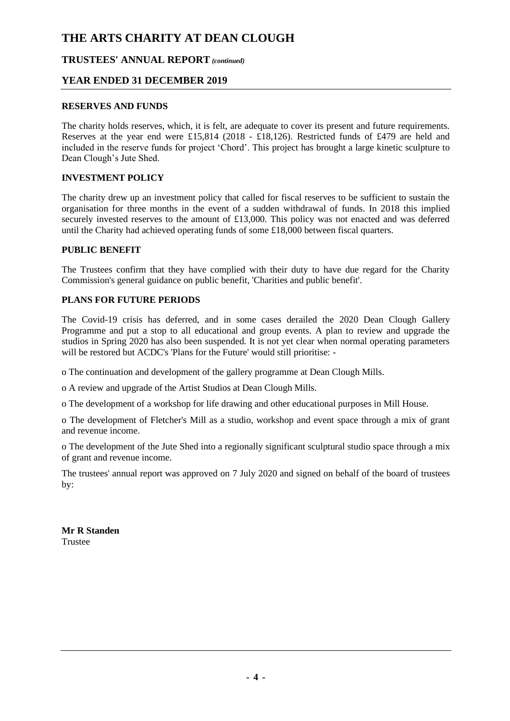#### **TRUSTEES' ANNUAL REPORT** *(continued)*

#### **YEAR ENDED 31 DECEMBER 2019**

#### **RESERVES AND FUNDS**

The charity holds reserves, which, it is felt, are adequate to cover its present and future requirements. Reserves at the year end were £15,814 (2018 - £18,126). Restricted funds of £479 are held and included in the reserve funds for project 'Chord'. This project has brought a large kinetic sculpture to Dean Clough's Jute Shed.

#### **INVESTMENT POLICY**

The charity drew up an investment policy that called for fiscal reserves to be sufficient to sustain the organisation for three months in the event of a sudden withdrawal of funds. In 2018 this implied securely invested reserves to the amount of £13,000. This policy was not enacted and was deferred until the Charity had achieved operating funds of some £18,000 between fiscal quarters.

#### **PUBLIC BENEFIT**

The Trustees confirm that they have complied with their duty to have due regard for the Charity Commission's general guidance on public benefit, 'Charities and public benefit'.

#### **PLANS FOR FUTURE PERIODS**

The Covid-19 crisis has deferred, and in some cases derailed the 2020 Dean Clough Gallery Programme and put a stop to all educational and group events. A plan to review and upgrade the studios in Spring 2020 has also been suspended. It is not yet clear when normal operating parameters will be restored but ACDC's 'Plans for the Future' would still prioritise: -

o The continuation and development of the gallery programme at Dean Clough Mills.

o A review and upgrade of the Artist Studios at Dean Clough Mills.

o The development of a workshop for life drawing and other educational purposes in Mill House.

o The development of Fletcher's Mill as a studio, workshop and event space through a mix of grant and revenue income.

o The development of the Jute Shed into a regionally significant sculptural studio space through a mix of grant and revenue income.

The trustees' annual report was approved on 7 July 2020 and signed on behalf of the board of trustees by:

**Mr R Standen** Trustee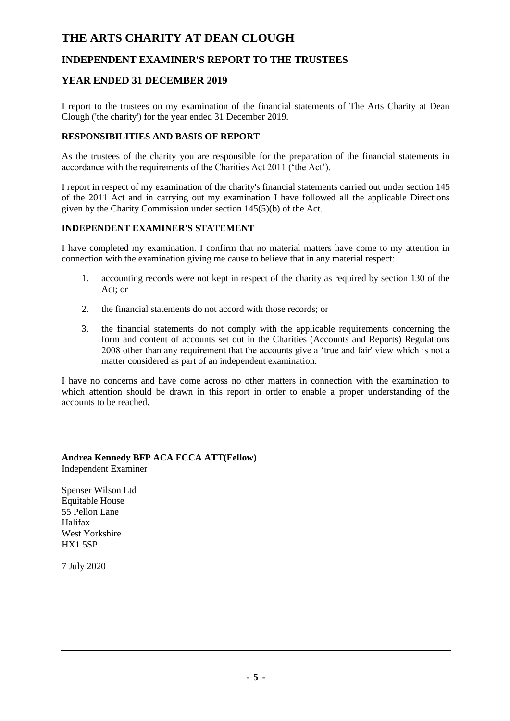#### **INDEPENDENT EXAMINER'S REPORT TO THE TRUSTEES**

#### **YEAR ENDED 31 DECEMBER 2019**

I report to the trustees on my examination of the financial statements of The Arts Charity at Dean Clough ('the charity') for the year ended 31 December 2019.

#### **RESPONSIBILITIES AND BASIS OF REPORT**

As the trustees of the charity you are responsible for the preparation of the financial statements in accordance with the requirements of the Charities Act 2011 ('the Act').

I report in respect of my examination of the charity's financial statements carried out under section 145 of the 2011 Act and in carrying out my examination I have followed all the applicable Directions given by the Charity Commission under section 145(5)(b) of the Act.

#### **INDEPENDENT EXAMINER'S STATEMENT**

I have completed my examination. I confirm that no material matters have come to my attention in connection with the examination giving me cause to believe that in any material respect:

- 1. accounting records were not kept in respect of the charity as required by section 130 of the Act; or
- 2. the financial statements do not accord with those records; or
- 3. the financial statements do not comply with the applicable requirements concerning the form and content of accounts set out in the Charities (Accounts and Reports) Regulations 2008 other than any requirement that the accounts give a 'true and fair' view which is not a matter considered as part of an independent examination.

I have no concerns and have come across no other matters in connection with the examination to which attention should be drawn in this report in order to enable a proper understanding of the accounts to be reached.

**Andrea Kennedy BFP ACA FCCA ATT(Fellow)** Independent Examiner

Spenser Wilson Ltd Equitable House 55 Pellon Lane Halifax West Yorkshire HX1 5SP

7 July 2020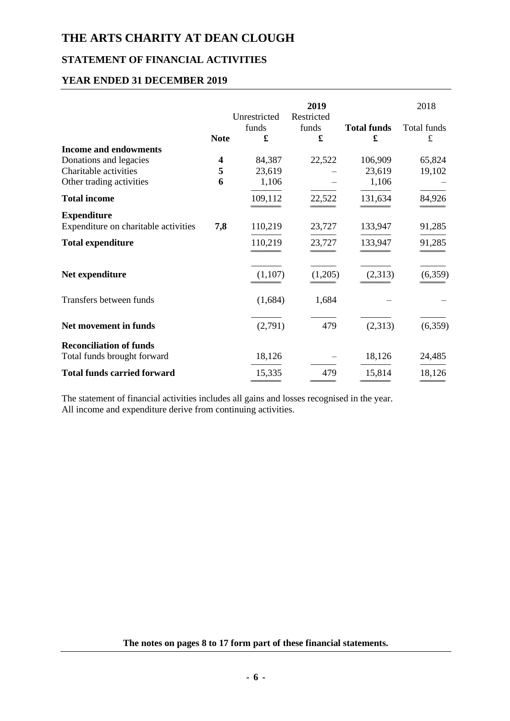## **STATEMENT OF FINANCIAL ACTIVITIES**

#### **YEAR ENDED 31 DECEMBER 2019**

|                                      | <b>Note</b> | Unrestricted<br>funds<br>£ | 2019<br>Restricted<br>funds<br>£ | <b>Total funds</b><br>£ | 2018<br>Total funds<br>£ |
|--------------------------------------|-------------|----------------------------|----------------------------------|-------------------------|--------------------------|
| <b>Income and endowments</b>         |             |                            |                                  |                         |                          |
| Donations and legacies               | 4           | 84,387                     | 22,522                           | 106,909                 | 65,824                   |
| Charitable activities                | 5           | 23,619                     |                                  | 23,619                  | 19,102                   |
| Other trading activities             | 6           | 1,106                      |                                  | 1,106                   |                          |
| <b>Total income</b>                  |             | 109,112                    | 22,522                           | 131,634                 | 84,926                   |
| <b>Expenditure</b>                   |             |                            |                                  |                         |                          |
| Expenditure on charitable activities | 7,8         | 110,219                    | 23,727                           | 133,947                 | 91,285                   |
| <b>Total expenditure</b>             |             | 110,219                    | 23,727                           | 133,947                 | 91,285                   |
| Net expenditure                      |             | (1,107)                    | (1,205)                          | (2,313)                 | (6,359)                  |
| Transfers between funds              |             | (1,684)                    | 1,684                            |                         |                          |
| Net movement in funds                |             | (2,791)                    | 479                              | (2,313)                 | (6,359)                  |
| <b>Reconciliation of funds</b>       |             |                            |                                  |                         |                          |
| Total funds brought forward          |             | 18,126                     |                                  | 18,126                  | 24,485                   |
| <b>Total funds carried forward</b>   |             | 15,335                     | 479                              | 15,814                  | 18,126                   |

The statement of financial activities includes all gains and losses recognised in the year. All income and expenditure derive from continuing activities.

**The notes on pages 8 to 17 form part of these financial statements.**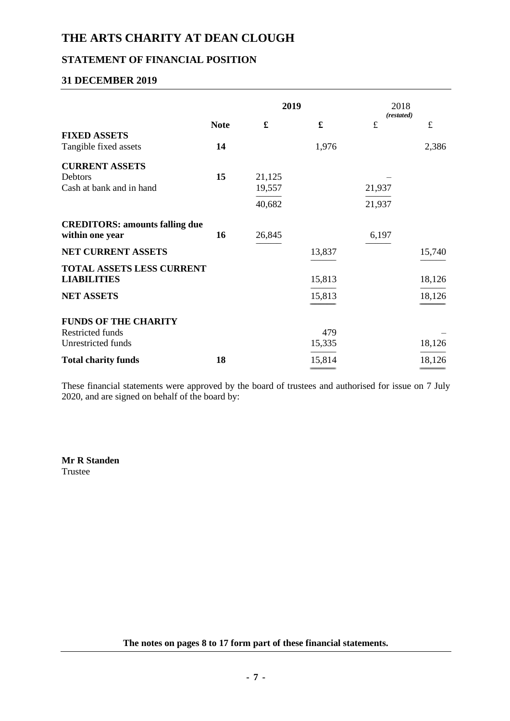#### **STATEMENT OF FINANCIAL POSITION**

#### **31 DECEMBER 2019**

|                                       |             | 2019                 |        | 2018                    |           |
|---------------------------------------|-------------|----------------------|--------|-------------------------|-----------|
|                                       | <b>Note</b> | $\pmb{\mathfrak{L}}$ | £      | (restated)<br>$\pounds$ | $\pounds$ |
| <b>FIXED ASSETS</b>                   |             |                      |        |                         |           |
| Tangible fixed assets                 | 14          |                      | 1,976  |                         | 2,386     |
| <b>CURRENT ASSETS</b>                 |             |                      |        |                         |           |
| Debtors                               | 15          | 21,125               |        |                         |           |
| Cash at bank and in hand              |             | 19,557               |        | 21,937                  |           |
|                                       |             | 40,682               |        | 21,937                  |           |
| <b>CREDITORS: amounts falling due</b> |             |                      |        |                         |           |
| within one year                       | 16          | 26,845               |        | 6,197                   |           |
| NET CURRENT ASSETS                    |             |                      | 13,837 |                         | 15,740    |
| <b>TOTAL ASSETS LESS CURRENT</b>      |             |                      |        |                         |           |
| <b>LIABILITIES</b>                    |             |                      | 15,813 |                         | 18,126    |
| <b>NET ASSETS</b>                     |             |                      | 15,813 |                         | 18,126    |
| <b>FUNDS OF THE CHARITY</b>           |             |                      |        |                         |           |
| Restricted funds                      |             |                      | 479    |                         |           |
| Unrestricted funds                    |             |                      | 15,335 |                         | 18,126    |
| <b>Total charity funds</b>            | 18          |                      | 15,814 |                         | 18,126    |

These financial statements were approved by the board of trustees and authorised for issue on 7 July 2020, and are signed on behalf of the board by:

**Mr R Standen** Trustee

**The notes on pages 8 to 17 form part of these financial statements.**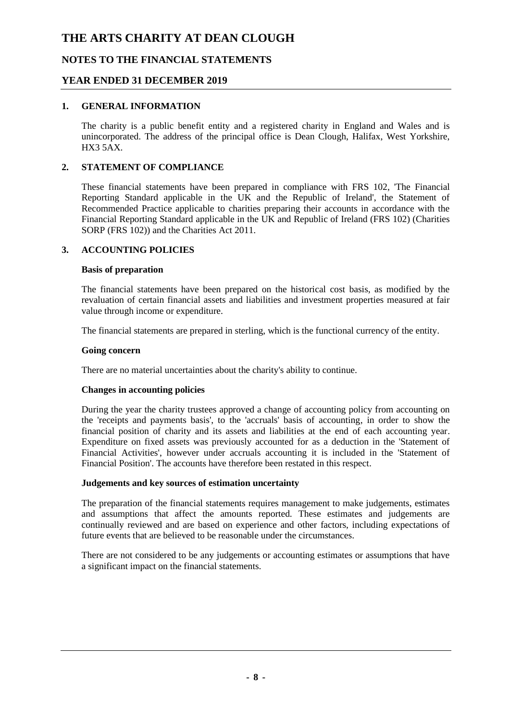#### **NOTES TO THE FINANCIAL STATEMENTS**

#### **YEAR ENDED 31 DECEMBER 2019**

#### **1. GENERAL INFORMATION**

The charity is a public benefit entity and a registered charity in England and Wales and is unincorporated. The address of the principal office is Dean Clough, Halifax, West Yorkshire,  $HX3 5AX$ 

#### **2. STATEMENT OF COMPLIANCE**

These financial statements have been prepared in compliance with FRS 102, 'The Financial Reporting Standard applicable in the UK and the Republic of Ireland', the Statement of Recommended Practice applicable to charities preparing their accounts in accordance with the Financial Reporting Standard applicable in the UK and Republic of Ireland (FRS 102) (Charities SORP (FRS 102)) and the Charities Act 2011.

#### **3. ACCOUNTING POLICIES**

#### **Basis of preparation**

The financial statements have been prepared on the historical cost basis, as modified by the revaluation of certain financial assets and liabilities and investment properties measured at fair value through income or expenditure.

The financial statements are prepared in sterling, which is the functional currency of the entity.

#### **Going concern**

There are no material uncertainties about the charity's ability to continue.

#### **Changes in accounting policies**

During the year the charity trustees approved a change of accounting policy from accounting on the 'receipts and payments basis', to the 'accruals' basis of accounting, in order to show the financial position of charity and its assets and liabilities at the end of each accounting year. Expenditure on fixed assets was previously accounted for as a deduction in the 'Statement of Financial Activities', however under accruals accounting it is included in the 'Statement of Financial Position'. The accounts have therefore been restated in this respect.

#### **Judgements and key sources of estimation uncertainty**

The preparation of the financial statements requires management to make judgements, estimates and assumptions that affect the amounts reported. These estimates and judgements are continually reviewed and are based on experience and other factors, including expectations of future events that are believed to be reasonable under the circumstances.

There are not considered to be any judgements or accounting estimates or assumptions that have a significant impact on the financial statements.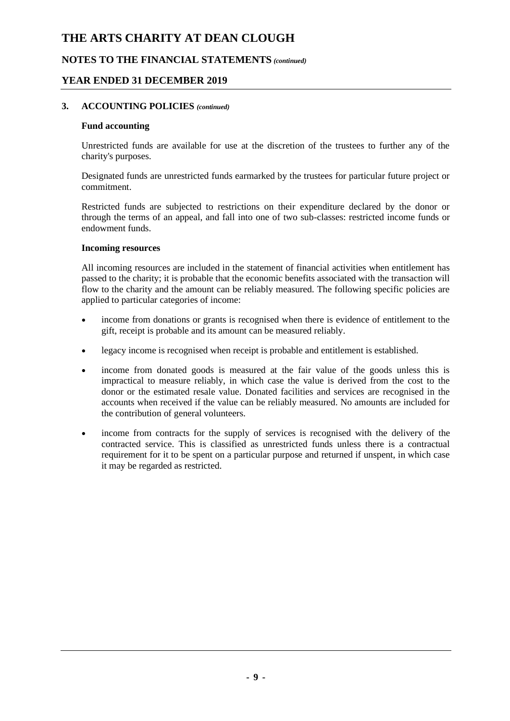#### **NOTES TO THE FINANCIAL STATEMENTS** *(continued)*

#### **YEAR ENDED 31 DECEMBER 2019**

#### **3. ACCOUNTING POLICIES** *(continued)*

#### **Fund accounting**

Unrestricted funds are available for use at the discretion of the trustees to further any of the charity's purposes.

Designated funds are unrestricted funds earmarked by the trustees for particular future project or commitment.

Restricted funds are subjected to restrictions on their expenditure declared by the donor or through the terms of an appeal, and fall into one of two sub-classes: restricted income funds or endowment funds.

#### **Incoming resources**

All incoming resources are included in the statement of financial activities when entitlement has passed to the charity; it is probable that the economic benefits associated with the transaction will flow to the charity and the amount can be reliably measured. The following specific policies are applied to particular categories of income:

- income from donations or grants is recognised when there is evidence of entitlement to the gift, receipt is probable and its amount can be measured reliably.
- legacy income is recognised when receipt is probable and entitlement is established.
- income from donated goods is measured at the fair value of the goods unless this is impractical to measure reliably, in which case the value is derived from the cost to the donor or the estimated resale value. Donated facilities and services are recognised in the accounts when received if the value can be reliably measured. No amounts are included for the contribution of general volunteers.
- income from contracts for the supply of services is recognised with the delivery of the contracted service. This is classified as unrestricted funds unless there is a contractual requirement for it to be spent on a particular purpose and returned if unspent, in which case it may be regarded as restricted.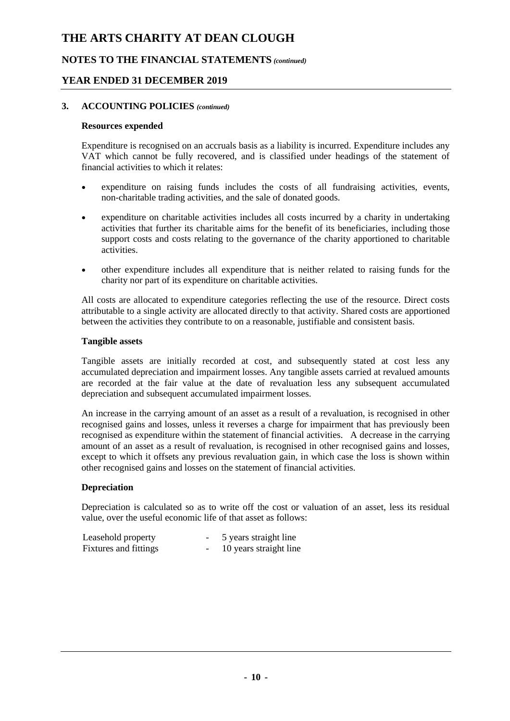#### **NOTES TO THE FINANCIAL STATEMENTS** *(continued)*

#### **YEAR ENDED 31 DECEMBER 2019**

#### **3. ACCOUNTING POLICIES** *(continued)*

#### **Resources expended**

Expenditure is recognised on an accruals basis as a liability is incurred. Expenditure includes any VAT which cannot be fully recovered, and is classified under headings of the statement of financial activities to which it relates:

- expenditure on raising funds includes the costs of all fundraising activities, events, non-charitable trading activities, and the sale of donated goods.
- expenditure on charitable activities includes all costs incurred by a charity in undertaking activities that further its charitable aims for the benefit of its beneficiaries, including those support costs and costs relating to the governance of the charity apportioned to charitable activities.
- other expenditure includes all expenditure that is neither related to raising funds for the charity nor part of its expenditure on charitable activities.

All costs are allocated to expenditure categories reflecting the use of the resource. Direct costs attributable to a single activity are allocated directly to that activity. Shared costs are apportioned between the activities they contribute to on a reasonable, justifiable and consistent basis.

#### **Tangible assets**

Tangible assets are initially recorded at cost, and subsequently stated at cost less any accumulated depreciation and impairment losses. Any tangible assets carried at revalued amounts are recorded at the fair value at the date of revaluation less any subsequent accumulated depreciation and subsequent accumulated impairment losses.

An increase in the carrying amount of an asset as a result of a revaluation, is recognised in other recognised gains and losses, unless it reverses a charge for impairment that has previously been recognised as expenditure within the statement of financial activities. A decrease in the carrying amount of an asset as a result of revaluation, is recognised in other recognised gains and losses, except to which it offsets any previous revaluation gain, in which case the loss is shown within other recognised gains and losses on the statement of financial activities.

#### **Depreciation**

Depreciation is calculated so as to write off the cost or valuation of an asset, less its residual value, over the useful economic life of that asset as follows:

| Leasehold property    | -                        | 5 years straight line  |
|-----------------------|--------------------------|------------------------|
| Fixtures and fittings | $\overline{\phantom{a}}$ | 10 years straight line |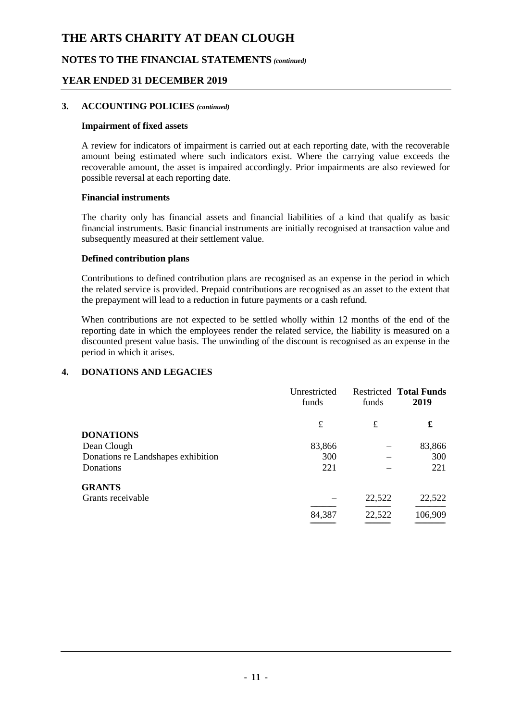#### **NOTES TO THE FINANCIAL STATEMENTS** *(continued)*

#### **YEAR ENDED 31 DECEMBER 2019**

#### **3. ACCOUNTING POLICIES** *(continued)*

#### **Impairment of fixed assets**

A review for indicators of impairment is carried out at each reporting date, with the recoverable amount being estimated where such indicators exist. Where the carrying value exceeds the recoverable amount, the asset is impaired accordingly. Prior impairments are also reviewed for possible reversal at each reporting date.

#### **Financial instruments**

The charity only has financial assets and financial liabilities of a kind that qualify as basic financial instruments. Basic financial instruments are initially recognised at transaction value and subsequently measured at their settlement value.

#### **Defined contribution plans**

Contributions to defined contribution plans are recognised as an expense in the period in which the related service is provided. Prepaid contributions are recognised as an asset to the extent that the prepayment will lead to a reduction in future payments or a cash refund.

When contributions are not expected to be settled wholly within 12 months of the end of the reporting date in which the employees render the related service, the liability is measured on a discounted present value basis. The unwinding of the discount is recognised as an expense in the period in which it arises.

#### **4. DONATIONS AND LEGACIES**

|                                    | Unrestricted<br>funds | funds  | <b>Restricted Total Funds</b><br>2019 |
|------------------------------------|-----------------------|--------|---------------------------------------|
|                                    | £                     | £      | £                                     |
| <b>DONATIONS</b>                   |                       |        |                                       |
| Dean Clough                        | 83,866                |        | 83,866                                |
| Donations re Landshapes exhibition | 300                   |        | 300                                   |
| Donations                          | 221                   |        | 221                                   |
| <b>GRANTS</b>                      |                       |        |                                       |
| Grants receivable                  |                       | 22,522 | 22,522                                |
|                                    | 84,387                | 22,522 | 106,909                               |
|                                    |                       |        |                                       |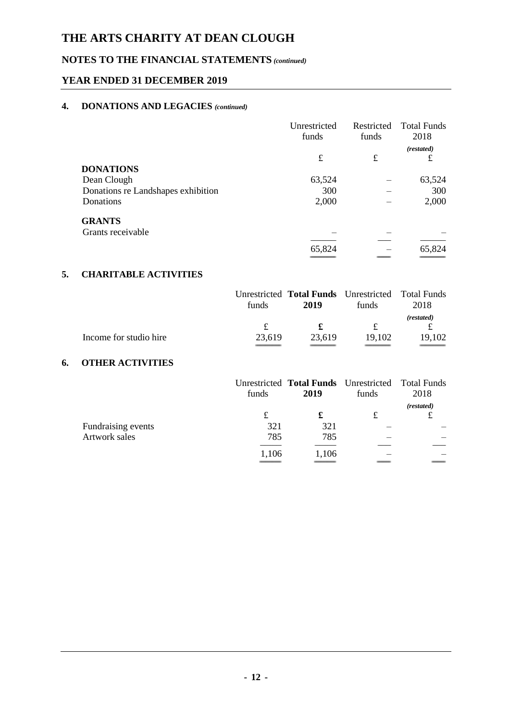## **NOTES TO THE FINANCIAL STATEMENTS** *(continued)*

#### **YEAR ENDED 31 DECEMBER 2019**

#### **4. DONATIONS AND LEGACIES** *(continued)*

|                                    | Unrestricted<br>funds | Restricted<br>funds | <b>Total Funds</b><br>2018 |
|------------------------------------|-----------------------|---------------------|----------------------------|
|                                    | £                     | £                   | (restated)<br>£            |
| <b>DONATIONS</b>                   |                       |                     |                            |
| Dean Clough                        | 63,524                |                     | 63,524                     |
| Donations re Landshapes exhibition | 300                   |                     | 300                        |
| Donations                          | 2,000                 |                     | 2,000                      |
| <b>GRANTS</b>                      |                       |                     |                            |
| Grants receivable                  |                       |                     |                            |
|                                    |                       |                     |                            |
|                                    | 65,824                |                     | 65,824                     |

#### **5. CHARITABLE ACTIVITIES**

|                        |        | Unrestricted <b>Total Funds</b> Unrestricted Total Funds |        |            |
|------------------------|--------|----------------------------------------------------------|--------|------------|
|                        | funds  | 2019                                                     | funds  | 2018       |
|                        |        |                                                          |        | (restated) |
|                        |        |                                                          | £      |            |
| Income for studio hire | 23.619 | 23.619                                                   | 19.102 | 19.102     |
|                        |        |                                                          |        |            |

#### **6. OTHER ACTIVITIES**

|                    | funds | Unrestricted <b>Total Funds</b> Unrestricted Total Funds<br>2019 | funds | 2018       |
|--------------------|-------|------------------------------------------------------------------|-------|------------|
|                    | £     | £                                                                | £     | (restated) |
| Fundraising events | 321   | 321                                                              |       |            |
| Artwork sales      | 785   | 785                                                              |       |            |
|                    | 1,106 | 1,106                                                            |       |            |
|                    |       |                                                                  |       |            |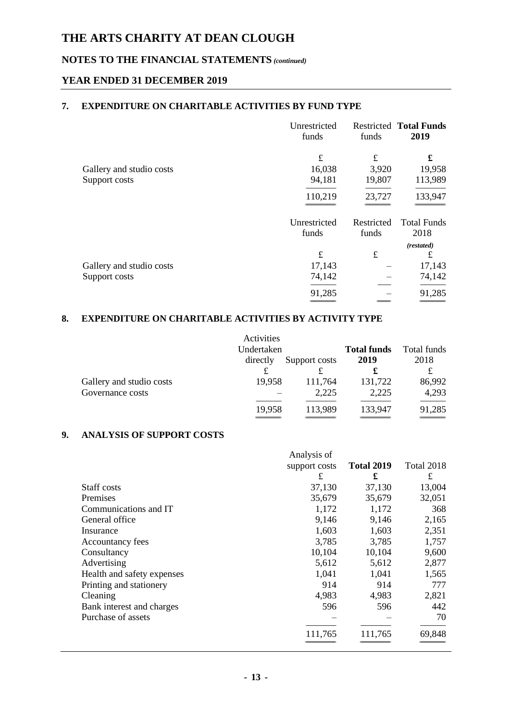### **NOTES TO THE FINANCIAL STATEMENTS** *(continued)*

#### **YEAR ENDED 31 DECEMBER 2019**

#### **7. EXPENDITURE ON CHARITABLE ACTIVITIES BY FUND TYPE**

|                          | Unrestricted<br>funds | funds      | <b>Restricted Total Funds</b><br>2019 |
|--------------------------|-----------------------|------------|---------------------------------------|
|                          | £                     | £          | £                                     |
| Gallery and studio costs | 16,038                | 3,920      | 19,958                                |
| Support costs            | 94,181                | 19,807     | 113,989                               |
|                          | 110,219               | 23,727     | 133,947                               |
|                          | Unrestricted          | Restricted | <b>Total Funds</b>                    |
|                          | funds                 | funds      | 2018                                  |
|                          |                       |            | (restated)                            |
|                          | £                     | $\pounds$  | £                                     |
| Gallery and studio costs | 17,143                |            | 17,143                                |
| Support costs            | 74,142                |            | 74,142                                |
|                          | 91,285                |            | 91,285                                |
|                          |                       |            |                                       |

#### **8. EXPENDITURE ON CHARITABLE ACTIVITIES BY ACTIVITY TYPE**

|                          | Activities |               |                    |             |
|--------------------------|------------|---------------|--------------------|-------------|
|                          | Undertaken |               | <b>Total funds</b> | Total funds |
|                          | directly   | Support costs | 2019               | 2018        |
|                          |            | £             | £                  |             |
| Gallery and studio costs | 19,958     | 111,764       | 131,722            | 86,992      |
| Governance costs         |            | 2,225         | 2,225              | 4,293       |
|                          | 19,958     | 113,989       | 133,947            | 91,285      |
|                          |            |               |                    |             |

#### **9. ANALYSIS OF SUPPORT COSTS**

|                            | Analysis of   |                   |            |
|----------------------------|---------------|-------------------|------------|
|                            | support costs | <b>Total 2019</b> | Total 2018 |
|                            | £             | £                 | £          |
| Staff costs                | 37,130        | 37,130            | 13,004     |
| Premises                   | 35,679        | 35,679            | 32,051     |
| Communications and IT      | 1,172         | 1,172             | 368        |
| General office             | 9,146         | 9,146             | 2,165      |
| Insurance                  | 1,603         | 1,603             | 2,351      |
| Accountancy fees           | 3,785         | 3,785             | 1,757      |
| Consultancy                | 10,104        | 10,104            | 9,600      |
| Advertising                | 5,612         | 5,612             | 2,877      |
| Health and safety expenses | 1,041         | 1,041             | 1,565      |
| Printing and stationery    | 914           | 914               | 777        |
| Cleaning                   | 4,983         | 4,983             | 2,821      |
| Bank interest and charges  | 596           | 596               | 442        |
| Purchase of assets         |               |                   | 70         |
|                            | 111,765       | 111,765           | 69,848     |
|                            |               |                   |            |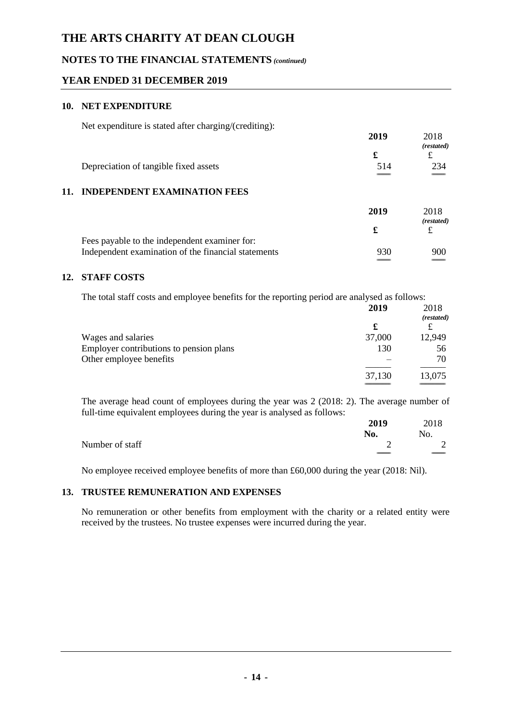#### **NOTES TO THE FINANCIAL STATEMENTS** *(continued)*

#### **YEAR ENDED 31 DECEMBER 2019**

#### **10. NET EXPENDITURE**

Net expenditure is stated after charging/(crediting):

|     |                                               | 2019 | 2018<br>(restated) |
|-----|-----------------------------------------------|------|--------------------|
|     |                                               | £    |                    |
|     | Depreciation of tangible fixed assets         | 514  | 234                |
|     |                                               |      |                    |
| 11. | <b>INDEPENDENT EXAMINATION FEES</b>           |      |                    |
|     |                                               | 2019 | 2018<br>(restated) |
|     |                                               | £    |                    |
|     | Fees payable to the independent examiner for: |      |                    |

# Independent examination of the financial statements 930 900

#### **12. STAFF COSTS**

The total staff costs and employee benefits for the reporting period are analysed as follows:

 $\hspace{.1cm} =$ 

|                                         | 2019   | 2018<br>(restated) |
|-----------------------------------------|--------|--------------------|
|                                         | £      |                    |
| Wages and salaries                      | 37,000 | 12,949             |
| Employer contributions to pension plans | 130    | 56                 |
| Other employee benefits                 |        | 70                 |
|                                         | 37,130 | 13,075             |
|                                         |        |                    |

The average head count of employees during the year was 2 (2018: 2). The average number of full-time equivalent employees during the year is analysed as follows:

|                 | 2019  | 2018 |
|-----------------|-------|------|
|                 | No.   | No.  |
| Number of staff |       | 2    |
|                 | _____ |      |

No employee received employee benefits of more than £60,000 during the year (2018: Nil).

#### **13. TRUSTEE REMUNERATION AND EXPENSES**

No remuneration or other benefits from employment with the charity or a related entity were received by the trustees. No trustee expenses were incurred during the year.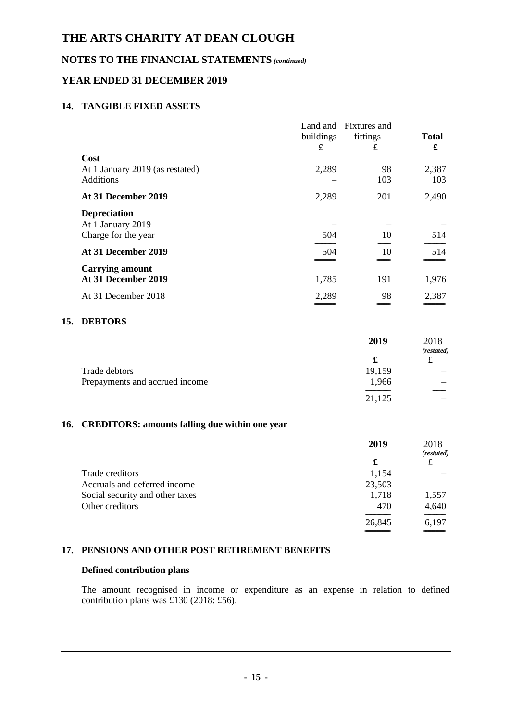#### **NOTES TO THE FINANCIAL STATEMENTS** *(continued)*

#### **YEAR ENDED 31 DECEMBER 2019**

#### **14. TANGIBLE FIXED ASSETS**

|                                 | buildings | Land and Fixtures and<br>fittings | <b>Total</b> |
|---------------------------------|-----------|-----------------------------------|--------------|
|                                 | £         | £                                 | £            |
| Cost                            |           |                                   |              |
| At 1 January 2019 (as restated) | 2,289     | 98                                | 2,387        |
| <b>Additions</b>                |           | 103                               | 103          |
| At 31 December 2019             | 2,289     | 201                               | 2,490        |
| <b>Depreciation</b>             |           |                                   |              |
| At 1 January 2019               |           |                                   |              |
| Charge for the year             | 504       | 10                                | 514          |
| At 31 December 2019             | 504       | 10                                | 514          |
| <b>Carrying amount</b>          |           |                                   |              |
| At 31 December 2019             | 1,785     | 191                               | 1,976        |
| At 31 December 2018             | 2,289     | 98                                | 2,387        |
|                                 |           |                                   |              |

#### **15. DEBTORS**

|                                                 | 2019   | 2018<br>(restated) |
|-------------------------------------------------|--------|--------------------|
|                                                 | £      | £                  |
| Trade debtors<br>Prepayments and accrued income | 19,159 |                    |
|                                                 | 1,966  |                    |
|                                                 |        |                    |
|                                                 | 21,125 |                    |
|                                                 |        |                    |

#### **16. CREDITORS: amounts falling due within one year**

|                                 | 2019   | 2018<br>(restated) |
|---------------------------------|--------|--------------------|
|                                 | £      | £                  |
| Trade creditors                 | 1,154  |                    |
| Accruals and deferred income    | 23,503 |                    |
| Social security and other taxes | 1,718  | 1,557              |
| Other creditors                 | 470    | 4,640              |
|                                 | 26,845 | 6,197              |
|                                 |        |                    |

#### **17. PENSIONS AND OTHER POST RETIREMENT BENEFITS**

#### **Defined contribution plans**

The amount recognised in income or expenditure as an expense in relation to defined contribution plans was £130 (2018: £56).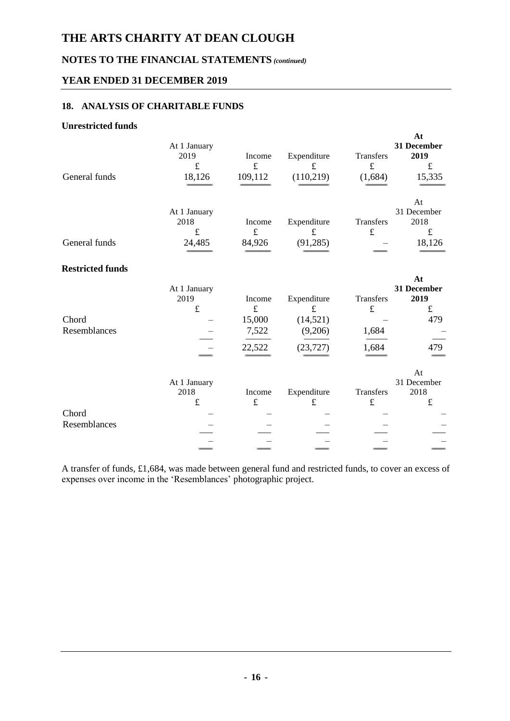## **NOTES TO THE FINANCIAL STATEMENTS** *(continued)*

#### **YEAR ENDED 31 DECEMBER 2019**

#### **18. ANALYSIS OF CHARITABLE FUNDS**

#### **Unrestricted funds**

| General funds           | At 1 January<br>2019<br>$\pounds$<br>18,126 | Income<br>$\mathbf f$<br>109,112                 | Expenditure<br>$\mathbf f$<br>(110,219)                       | Transfers<br>f<br>(1,684)                | At<br>31 December<br>2019<br>$\pounds$<br>15,335     |
|-------------------------|---------------------------------------------|--------------------------------------------------|---------------------------------------------------------------|------------------------------------------|------------------------------------------------------|
| General funds           | At 1 January<br>2018<br>$\pounds$<br>24,485 | Income<br>$\pounds$<br>84,926                    | Expenditure<br>$\pounds$<br>(91, 285)                         | Transfers<br>$\pounds$                   | At<br>31 December<br>2018<br>$\pounds$<br>18,126     |
| <b>Restricted funds</b> |                                             |                                                  |                                                               |                                          |                                                      |
| Chord<br>Resemblances   | At 1 January<br>2019<br>$\pounds$           | Income<br>$\pounds$<br>15,000<br>7,522<br>22,522 | Expenditure<br>$\pounds$<br>(14, 521)<br>(9,206)<br>(23, 727) | Transfers<br>$\pounds$<br>1,684<br>1,684 | At<br>31 December<br>2019<br>$\pounds$<br>479<br>479 |
| Chord<br>Resemblances   | At 1 January<br>2018<br>$\pounds$           | Income<br>$\pounds$                              | Expenditure<br>$\pounds$                                      | Transfers<br>$\pounds$                   | At<br>31 December<br>2018<br>$\pounds$               |

A transfer of funds, £1,684, was made between general fund and restricted funds, to cover an excess of expenses over income in the 'Resemblances' photographic project.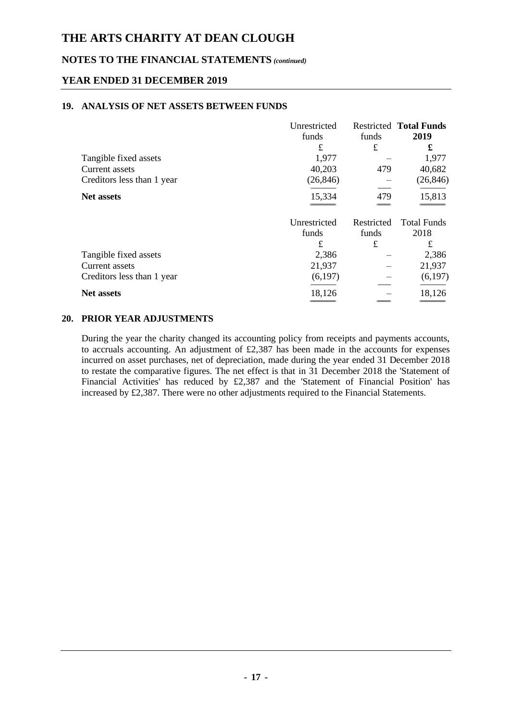#### **NOTES TO THE FINANCIAL STATEMENTS** *(continued)*

#### **YEAR ENDED 31 DECEMBER 2019**

#### **19. ANALYSIS OF NET ASSETS BETWEEN FUNDS**

|                            | Unrestricted |            | <b>Restricted Total Funds</b> |
|----------------------------|--------------|------------|-------------------------------|
|                            | funds        | funds      | 2019                          |
|                            | £            | £          | £                             |
| Tangible fixed assets      | 1,977        |            | 1,977                         |
| Current assets             | 40,203       | 479        | 40,682                        |
| Creditors less than 1 year | (26, 846)    |            | (26, 846)                     |
| <b>Net assets</b>          | 15,334       | 479        | 15,813                        |
|                            |              |            |                               |
|                            | Unrestricted | Restricted | <b>Total Funds</b>            |
|                            | funds        | funds      | 2018                          |
|                            | £            | £          | £                             |
| Tangible fixed assets      | 2,386        |            | 2,386                         |
| Current assets             | 21,937       |            | 21,937                        |
| Creditors less than 1 year | (6,197)      |            | (6,197)                       |
| <b>Net assets</b>          | 18,126       |            | 18,126                        |
|                            |              |            |                               |

#### **20. PRIOR YEAR ADJUSTMENTS**

During the year the charity changed its accounting policy from receipts and payments accounts, to accruals accounting. An adjustment of £2,387 has been made in the accounts for expenses incurred on asset purchases, net of depreciation, made during the year ended 31 December 2018 to restate the comparative figures. The net effect is that in 31 December 2018 the 'Statement of Financial Activities' has reduced by £2,387 and the 'Statement of Financial Position' has increased by £2,387. There were no other adjustments required to the Financial Statements.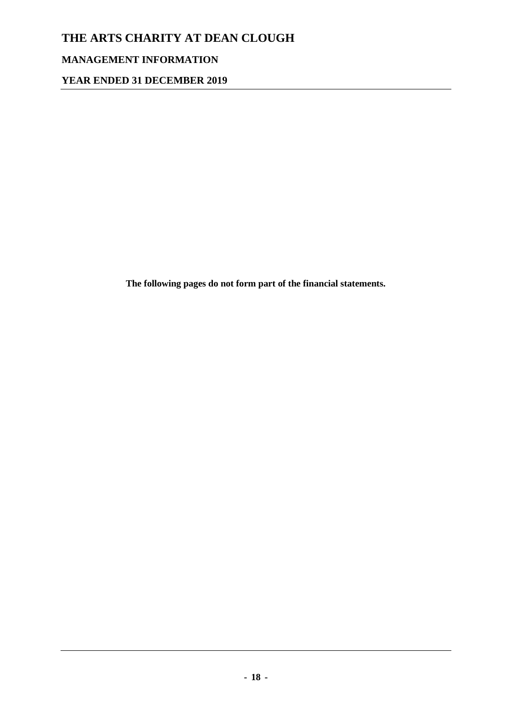## **MANAGEMENT INFORMATION**

**YEAR ENDED 31 DECEMBER 2019**

**The following pages do not form part of the financial statements.**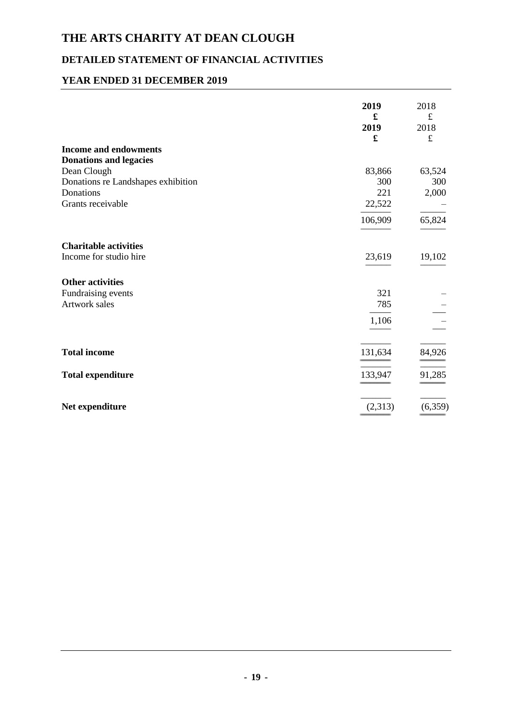## **DETAILED STATEMENT OF FINANCIAL ACTIVITIES**

#### **YEAR ENDED 31 DECEMBER 2019**

|                                    | 2019<br>£<br>2019<br>£ | 2018<br>$\pounds$<br>2018<br>$\pounds$ |
|------------------------------------|------------------------|----------------------------------------|
| <b>Income and endowments</b>       |                        |                                        |
| <b>Donations and legacies</b>      |                        |                                        |
| Dean Clough                        | 83,866                 | 63,524                                 |
| Donations re Landshapes exhibition | 300                    | 300                                    |
| Donations                          | 221                    | 2,000                                  |
| Grants receivable                  | 22,522                 |                                        |
|                                    | 106,909                | 65,824                                 |
| <b>Charitable activities</b>       |                        |                                        |
| Income for studio hire             | 23,619                 | 19,102                                 |
| <b>Other activities</b>            |                        |                                        |
| Fundraising events                 | 321                    |                                        |
| <b>Artwork sales</b>               | 785                    |                                        |
|                                    | 1,106                  |                                        |
| <b>Total income</b>                | 131,634                | 84,926                                 |
| <b>Total expenditure</b>           | 133,947                | 91,285                                 |
| Net expenditure                    | (2,313)                | (6, 359)                               |